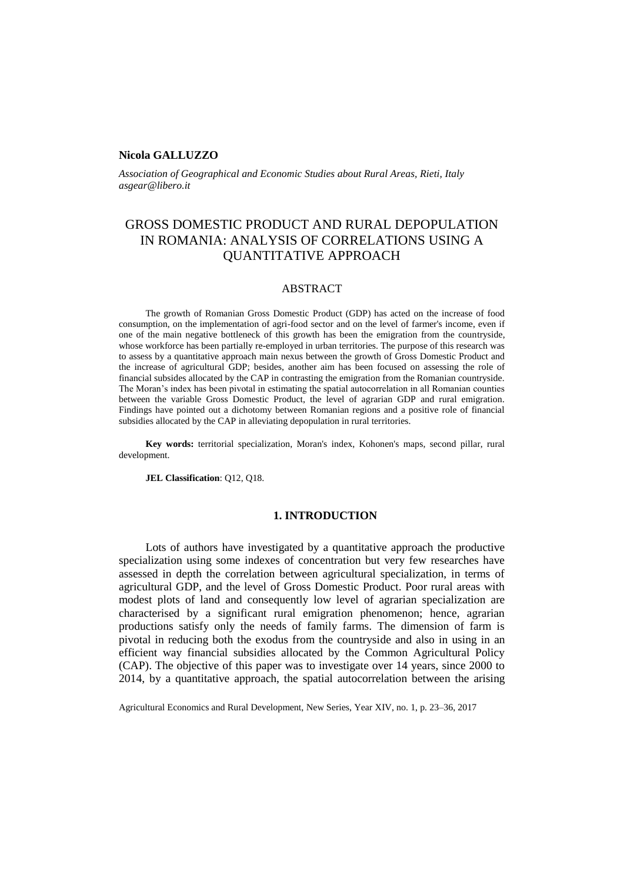### **Nicola GALLUZZO**

*Association of Geographical and Economic Studies about Rural Areas, Rieti, Italy asgear@libero.it* 

# GROSS DOMESTIC PRODUCT AND RURAL DEPOPULATION IN ROMANIA: ANALYSIS OF CORRELATIONS USING A QUANTITATIVE APPROACH

## ABSTRACT

The growth of Romanian Gross Domestic Product (GDP) has acted on the increase of food consumption, on the implementation of agri-food sector and on the level of farmer's income, even if one of the main negative bottleneck of this growth has been the emigration from the countryside, whose workforce has been partially re-employed in urban territories. The purpose of this research was to assess by a quantitative approach main nexus between the growth of Gross Domestic Product and the increase of agricultural GDP; besides, another aim has been focused on assessing the role of financial subsides allocated by the CAP in contrasting the emigration from the Romanian countryside. The Moran's index has been pivotal in estimating the spatial autocorrelation in all Romanian counties between the variable Gross Domestic Product, the level of agrarian GDP and rural emigration. Findings have pointed out a dichotomy between Romanian regions and a positive role of financial subsidies allocated by the CAP in alleviating depopulation in rural territories.

**Key words:** territorial specialization, Moran's index, Kohonen's maps, second pillar, rural development.

**JEL Classification**: Q12, Q18.

## **1. INTRODUCTION**

Lots of authors have investigated by a quantitative approach the productive specialization using some indexes of concentration but very few researches have assessed in depth the correlation between agricultural specialization, in terms of agricultural GDP, and the level of Gross Domestic Product. Poor rural areas with modest plots of land and consequently low level of agrarian specialization are characterised by a significant rural emigration phenomenon; hence, agrarian productions satisfy only the needs of family farms. The dimension of farm is pivotal in reducing both the exodus from the countryside and also in using in an efficient way financial subsidies allocated by the Common Agricultural Policy (CAP). The objective of this paper was to investigate over 14 years, since 2000 to 2014, by a quantitative approach, the spatial autocorrelation between the arising

Agricultural Economics and Rural Development, New Series, Year XIV, no. 1, p. 23–36, 2017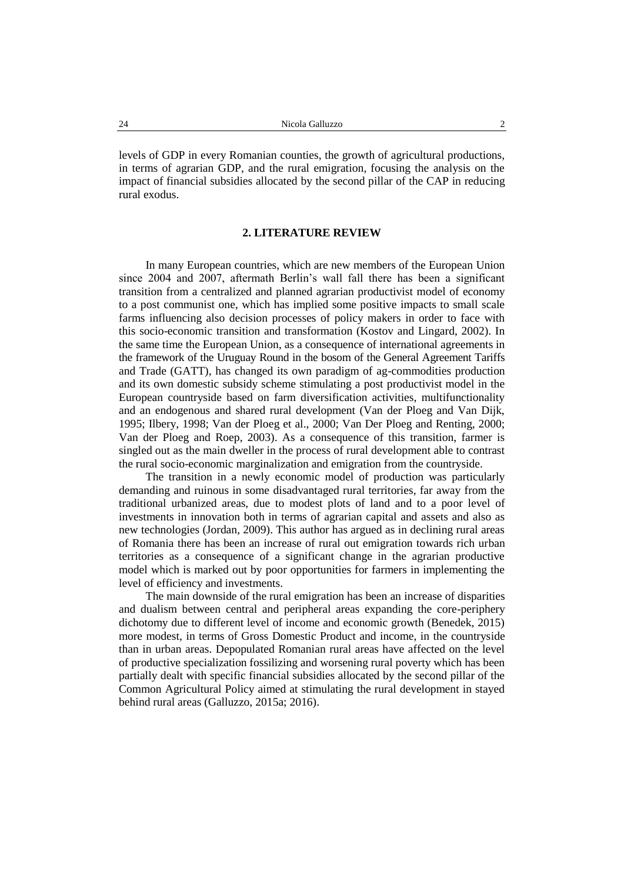levels of GDP in every Romanian counties, the growth of agricultural productions, in terms of agrarian GDP, and the rural emigration, focusing the analysis on the impact of financial subsidies allocated by the second pillar of the CAP in reducing rural exodus.

### **2. LITERATURE REVIEW**

In many European countries, which are new members of the European Union since 2004 and 2007, aftermath Berlin's wall fall there has been a significant transition from a centralized and planned agrarian productivist model of economy to a post communist one, which has implied some positive impacts to small scale farms influencing also decision processes of policy makers in order to face with this socio-economic transition and transformation (Kostov and Lingard, 2002). In the same time the European Union, as a consequence of international agreements in the framework of the Uruguay Round in the bosom of the General Agreement Tariffs and Trade (GATT), has changed its own paradigm of ag-commodities production and its own domestic subsidy scheme stimulating a post productivist model in the European countryside based on farm diversification activities, multifunctionality and an endogenous and shared rural development (Van der Ploeg and Van Dijk, 1995; Ilbery, 1998; Van der Ploeg et al., 2000; Van Der Ploeg and Renting, 2000; Van der Ploeg and Roep, 2003). As a consequence of this transition, farmer is singled out as the main dweller in the process of rural development able to contrast the rural socio-economic marginalization and emigration from the countryside.

The transition in a newly economic model of production was particularly demanding and ruinous in some disadvantaged rural territories, far away from the traditional urbanized areas, due to modest plots of land and to a poor level of investments in innovation both in terms of agrarian capital and assets and also as new technologies (Jordan, 2009). This author has argued as in declining rural areas of Romania there has been an increase of rural out emigration towards rich urban territories as a consequence of a significant change in the agrarian productive model which is marked out by poor opportunities for farmers in implementing the level of efficiency and investments.

The main downside of the rural emigration has been an increase of disparities and dualism between central and peripheral areas expanding the core-periphery dichotomy due to different level of income and economic growth (Benedek, 2015) more modest, in terms of Gross Domestic Product and income, in the countryside than in urban areas. Depopulated Romanian rural areas have affected on the level of productive specialization fossilizing and worsening rural poverty which has been partially dealt with specific financial subsidies allocated by the second pillar of the Common Agricultural Policy aimed at stimulating the rural development in stayed behind rural areas (Galluzzo, 2015a; 2016).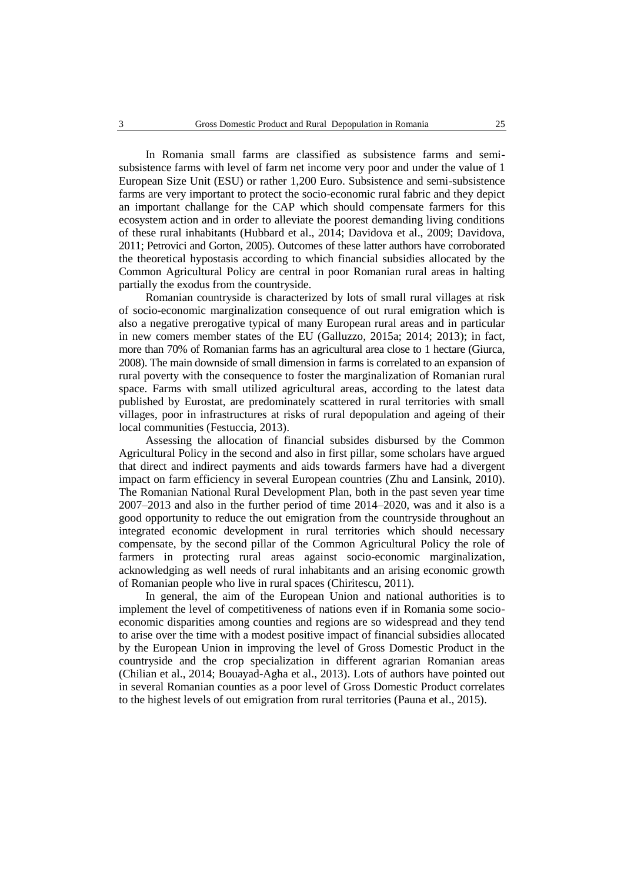In Romania small farms are classified as subsistence farms and semisubsistence farms with level of farm net income very poor and under the value of 1 European Size Unit (ESU) or rather 1,200 Euro. Subsistence and semi-subsistence farms are very important to protect the socio-economic rural fabric and they depict an important challange for the CAP which should compensate farmers for this ecosystem action and in order to alleviate the poorest demanding living conditions of these rural inhabitants (Hubbard et al., 2014; Davidova et al., 2009; Davidova, 2011; Petrovici and Gorton, 2005). Outcomes of these latter authors have corroborated the theoretical hypostasis according to which financial subsidies allocated by the Common Agricultural Policy are central in poor Romanian rural areas in halting partially the exodus from the countryside.

Romanian countryside is characterized by lots of small rural villages at risk of socio-economic marginalization consequence of out rural emigration which is also a negative prerogative typical of many European rural areas and in particular in new comers member states of the EU (Galluzzo, 2015a; 2014; 2013); in fact, more than 70% of Romanian farms has an agricultural area close to 1 hectare (Giurca, 2008). The main downside of small dimension in farms is correlated to an expansion of rural poverty with the consequence to foster the marginalization of Romanian rural space. Farms with small utilized agricultural areas, according to the latest data published by Eurostat, are predominately scattered in rural territories with small villages, poor in infrastructures at risks of rural depopulation and ageing of their local communities (Festuccia, 2013).

Assessing the allocation of financial subsides disbursed by the Common Agricultural Policy in the second and also in first pillar, some scholars have argued that direct and indirect payments and aids towards farmers have had a divergent impact on farm efficiency in several European countries (Zhu and Lansink, 2010). The Romanian National Rural Development Plan, both in the past seven year time 2007–2013 and also in the further period of time 2014–2020, was and it also is a good opportunity to reduce the out emigration from the countryside throughout an integrated economic development in rural territories which should necessary compensate, by the second pillar of the Common Agricultural Policy the role of farmers in protecting rural areas against socio-economic marginalization, acknowledging as well needs of rural inhabitants and an arising economic growth of Romanian people who live in rural spaces (Chiritescu, 2011).

In general, the aim of the European Union and national authorities is to implement the level of competitiveness of nations even if in Romania some socioeconomic disparities among counties and regions are so widespread and they tend to arise over the time with a modest positive impact of financial subsidies allocated by the European Union in improving the level of Gross Domestic Product in the countryside and the crop specialization in different agrarian Romanian areas (Chilian et al., 2014; Bouayad-Agha et al., 2013). Lots of authors have pointed out in several Romanian counties as a poor level of Gross Domestic Product correlates to the highest levels of out emigration from rural territories (Pauna et al., 2015).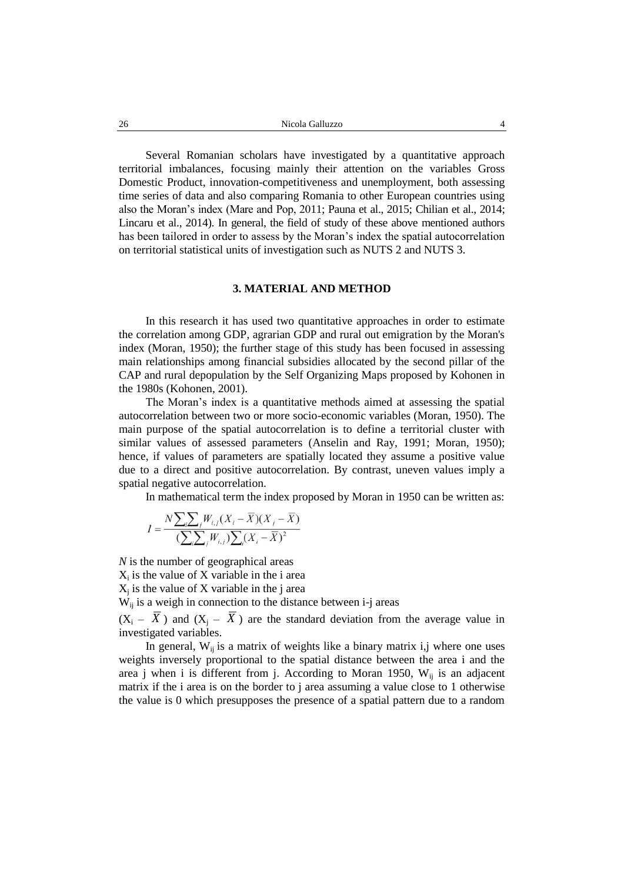Several Romanian scholars have investigated by a quantitative approach territorial imbalances, focusing mainly their attention on the variables Gross Domestic Product, innovation-competitiveness and unemployment, both assessing time series of data and also comparing Romania to other European countries using also the Moran's index (Mare and Pop, 2011; Pauna et al., 2015; Chilian et al., 2014; Lincaru et al., 2014). In general, the field of study of these above mentioned authors has been tailored in order to assess by the Moran's index the spatial autocorrelation on territorial statistical units of investigation such as NUTS 2 and NUTS 3.

## **3. MATERIAL AND METHOD**

In this research it has used two quantitative approaches in order to estimate the correlation among GDP, agrarian GDP and rural out emigration by the Moran's index (Moran, 1950); the further stage of this study has been focused in assessing main relationships among financial subsidies allocated by the second pillar of the CAP and rural depopulation by the Self Organizing Maps proposed by Kohonen in the 1980s (Kohonen, 2001).

The Moran's index is a quantitative methods aimed at assessing the spatial autocorrelation between two or more socio-economic variables (Moran, 1950). The main purpose of the spatial autocorrelation is to define a territorial cluster with similar values of assessed parameters (Anselin and Ray, 1991; Moran, 1950); hence, if values of parameters are spatially located they assume a positive value due to a direct and positive autocorrelation. By contrast, uneven values imply a spatial negative autocorrelation.

In mathematical term the index proposed by Moran in 1950 can be written as:

$$
I = \frac{N \sum_{i} \sum_{j} W_{i,j} (X_i - \overline{X})(X_j - \overline{X})}{\left(\sum_{i} \sum_{j} W_{i,j}\right) \sum_{i} (X_i - \overline{X})^2}
$$

*N* is the number of geographical areas  $X_i$  is the value of X variable in the i area  $X_j$  is the value of X variable in the j area  $W_{ij}$  is a weigh in connection to the distance between i-j areas

 $(X_i - X)$  and  $(X_j - X)$  are the standard deviation from the average value in investigated variables.

In general,  $W_{ii}$  is a matrix of weights like a binary matrix i,j where one uses weights inversely proportional to the spatial distance between the area i and the area j when i is different from j. According to Moran 1950,  $W_{ii}$  is an adjacent matrix if the i area is on the border to j area assuming a value close to 1 otherwise the value is 0 which presupposes the presence of a spatial pattern due to a random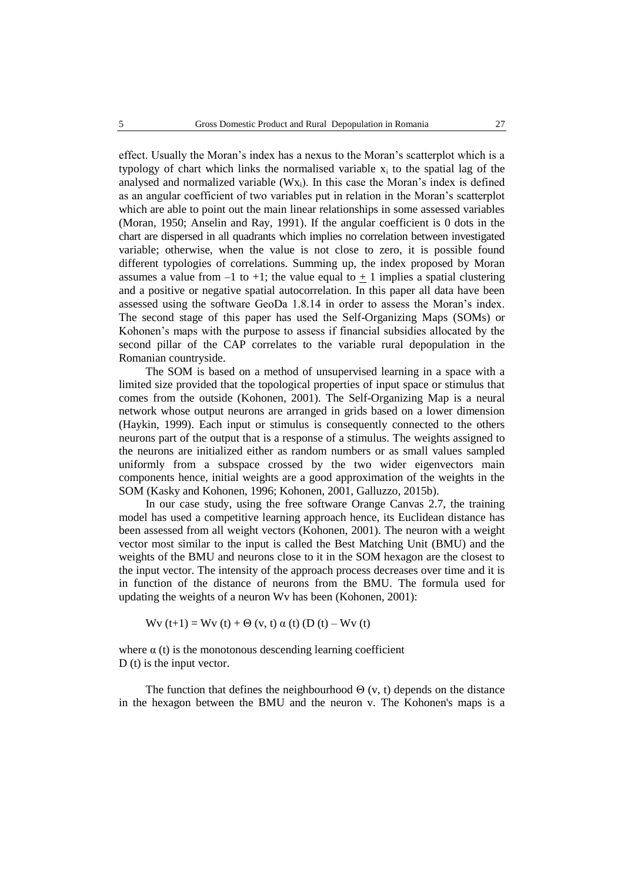effect. Usually the Moran's index has a nexus to the Moran's scatterplot which is a typology of chart which links the normalised variable  $x_i$  to the spatial lag of the analysed and normalized variable  $(Wx_i)$ . In this case the Moran's index is defined as an angular coefficient of two variables put in relation in the Moran's scatterplot which are able to point out the main linear relationships in some assessed variables (Moran, 1950; Anselin and Ray, 1991). If the angular coefficient is 0 dots in the chart are dispersed in all quadrants which implies no correlation between investigated variable; otherwise, when the value is not close to zero, it is possible found different typologies of correlations. Summing up, the index proposed by Moran assumes a value from  $-1$  to  $+1$ ; the value equal to  $+1$  implies a spatial clustering and a positive or negative spatial autocorrelation. In this paper all data have been assessed using the software GeoDa 1.8.14 in order to assess the Moran's index. The second stage of this paper has used the Self-Organizing Maps (SOMs) or Kohonen's maps with the purpose to assess if financial subsidies allocated by the second pillar of the CAP correlates to the variable rural depopulation in the Romanian countryside.

The SOM is based on a method of unsupervised learning in a space with a limited size provided that the topological properties of input space or stimulus that comes from the outside (Kohonen, 2001). The Self-Organizing Map is a neural network whose output neurons are arranged in grids based on a lower dimension (Haykin, 1999). Each input or stimulus is consequently connected to the others neurons part of the output that is a response of a stimulus. The weights assigned to the neurons are initialized either as random numbers or as small values sampled uniformly from a subspace crossed by the two wider eigenvectors main components hence, initial weights are a good approximation of the weights in the SOM (Kasky and Kohonen, 1996; Kohonen, 2001, Galluzzo, 2015b).

In our case study, using the free software Orange Canvas 2.7, the training model has used a competitive learning approach hence, its Euclidean distance has been assessed from all weight vectors (Kohonen, 2001). The neuron with a weight vector most similar to the input is called the Best Matching Unit (BMU) and the weights of the BMU and neurons close to it in the SOM hexagon are the closest to the input vector. The intensity of the approach process decreases over time and it is in function of the distance of neurons from the BMU. The formula used for updating the weights of a neuron Wv has been (Kohonen, 2001):

$$
Wv(t+1) = Wv(t) + \Theta(v, t) \alpha(t) (D(t) - Wv(t))
$$

where  $\alpha$  (t) is the monotonous descending learning coefficient D (t) is the input vector.

The function that defines the neighbourhood  $\Theta$  (v, t) depends on the distance in the hexagon between the BMU and the neuron v. The Kohonen's maps is a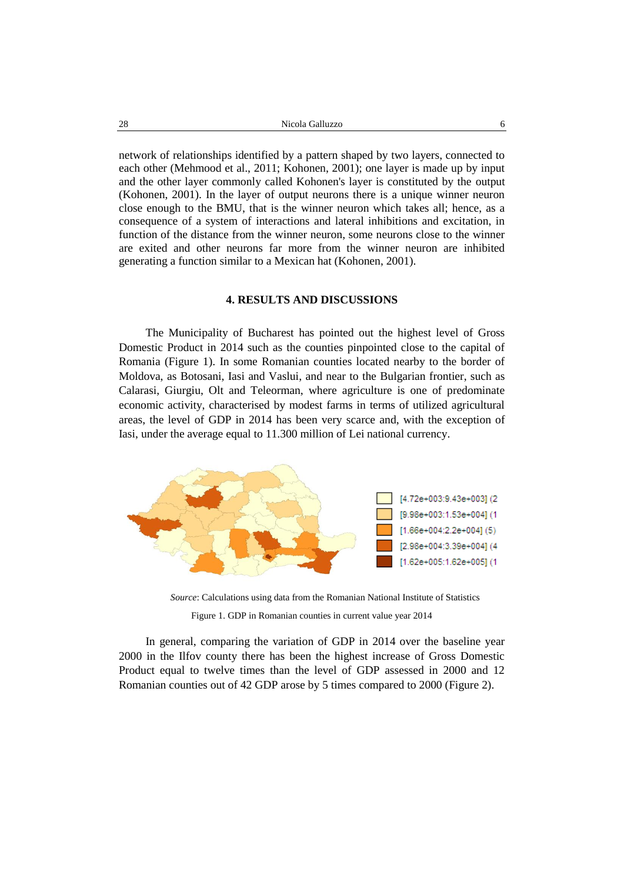network of relationships identified by a pattern shaped by two layers, connected to each other (Mehmood et al., 2011; Kohonen, 2001); one layer is made up by input and the other layer commonly called Kohonen's layer is constituted by the output (Kohonen, 2001). In the layer of output neurons there is a unique winner neuron close enough to the BMU, that is the winner neuron which takes all; hence, as a consequence of a system of interactions and lateral inhibitions and excitation, in function of the distance from the winner neuron, some neurons close to the winner are exited and other neurons far more from the winner neuron are inhibited generating a function similar to a Mexican hat (Kohonen, 2001).

### **4. RESULTS AND DISCUSSIONS**

The Municipality of Bucharest has pointed out the highest level of Gross Domestic Product in 2014 such as the counties pinpointed close to the capital of Romania (Figure 1). In some Romanian counties located nearby to the border of Moldova, as Botosani, Iasi and Vaslui, and near to the Bulgarian frontier, such as Calarasi, Giurgiu, Olt and Teleorman, where agriculture is one of predominate economic activity, characterised by modest farms in terms of utilized agricultural areas, the level of GDP in 2014 has been very scarce and, with the exception of Iasi, under the average equal to 11.300 million of Lei national currency.



*Source*: Calculations using data from the Romanian National Institute of Statistics

Figure 1. GDP in Romanian counties in current value year 2014

In general, comparing the variation of GDP in 2014 over the baseline year 2000 in the Ilfov county there has been the highest increase of Gross Domestic Product equal to twelve times than the level of GDP assessed in 2000 and 12 Romanian counties out of 42 GDP arose by 5 times compared to 2000 (Figure 2).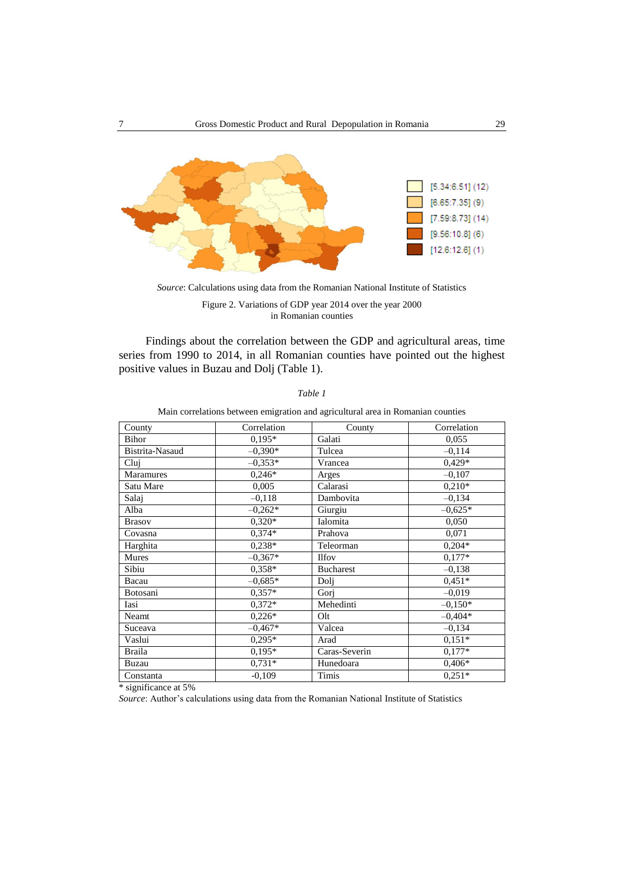

*Source*: Calculations using data from the Romanian National Institute of Statistics

Findings about the correlation between the GDP and agricultural areas, time series from 1990 to 2014, in all Romanian counties have pointed out the highest positive values in Buzau and Dolj (Table 1).

| County          | Correlation | County           | Correlation |
|-----------------|-------------|------------------|-------------|
| Bihor           | $0.195*$    | Galati           | 0,055       |
| Bistrita-Nasaud | $-0.390*$   | Tulcea           | $-0.114$    |
| Clui            | $-0.353*$   | Vrancea          | $0,429*$    |
| Maramures       | $0,246*$    | Arges            | $-0,107$    |
| Satu Mare       | 0,005       | Calarasi         | $0,210*$    |
| Salaj           | $-0,118$    | Dambovita        | $-0.134$    |
| Alba            | $-0,262*$   | Giurgiu          | $-0.625*$   |
| <b>Brasov</b>   | $0.320*$    | Ialomita         | 0,050       |
| Covasna         | $0.374*$    | Prahova          | 0,071       |
| Harghita        | $0.238*$    | Teleorman        | $0,204*$    |
| Mures           | $-0.367*$   | <b>Ilfov</b>     | $0.177*$    |
| Sibiu           | $0.358*$    | <b>Bucharest</b> | $-0.138$    |
| Bacau           | $-0.685*$   | Doli             | $0.451*$    |
| Botosani        | $0.357*$    | Gorj             | $-0.019$    |
| Iasi            | $0.372*$    | Mehedinti        | $-0.150*$   |
| Neamt           | $0,226*$    | Olt              | $-0.404*$   |
| Suceava         | $-0.467*$   | Valcea           | $-0.134$    |
| Vaslui          | $0,295*$    | Arad             | $0.151*$    |
| <b>Braila</b>   | $0.195*$    | Caras-Severin    | $0.177*$    |
| Buzau           | $0,731*$    | Hunedoara        | $0,406*$    |
| Constanta       | $-0,109$    | Timis            | $0.251*$    |

*Table 1*

Main correlations between emigration and agricultural area in Romanian counties

\* significance at 5%

*Source*: Author's calculations using data from the Romanian National Institute of Statistics

Figure 2. Variations of GDP year 2014 over the year 2000 in Romanian counties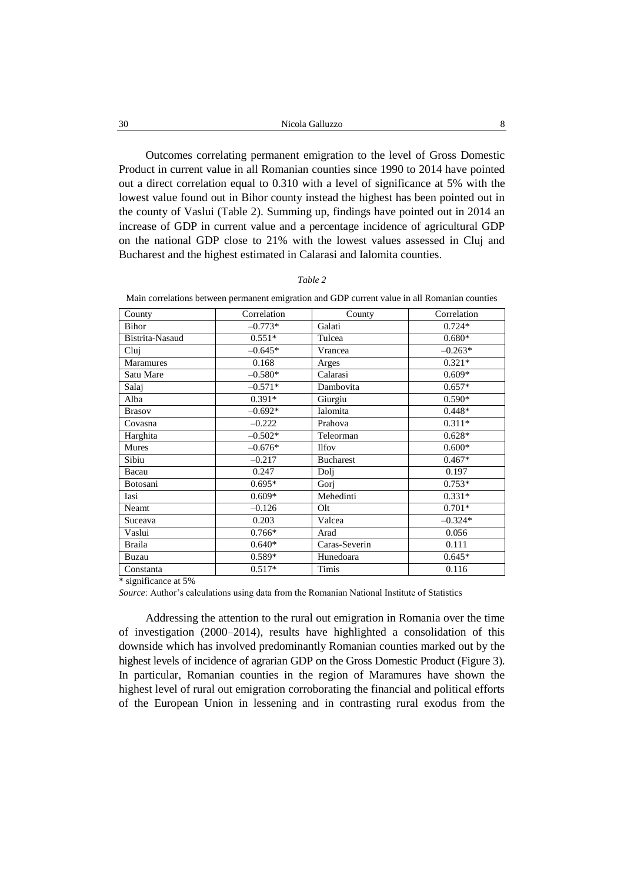Outcomes correlating permanent emigration to the level of Gross Domestic Product in current value in all Romanian counties since 1990 to 2014 have pointed out a direct correlation equal to 0.310 with a level of significance at 5% with the lowest value found out in Bihor county instead the highest has been pointed out in the county of Vaslui (Table 2). Summing up, findings have pointed out in 2014 an increase of GDP in current value and a percentage incidence of agricultural GDP on the national GDP close to 21% with the lowest values assessed in Cluj and Bucharest and the highest estimated in Calarasi and Ialomita counties.

| anı |
|-----|
|-----|

| Main correlations between permanent emigration and GDP current value in all Romanian counties |             |        |             |  |  |
|-----------------------------------------------------------------------------------------------|-------------|--------|-------------|--|--|
| County                                                                                        | Correlation | County | Correlation |  |  |

| County           | Correlation | County           | Correlation |
|------------------|-------------|------------------|-------------|
| Bihor            | $-0.773*$   | Galati           | $0.724*$    |
| Bistrita-Nasaud  | $0.551*$    | Tulcea           | $0.680*$    |
| Clui             | $-0.645*$   | Vrancea          | $-0.263*$   |
| <b>Maramures</b> | 0.168       | Arges            | $0.321*$    |
| Satu Mare        | $-0.580*$   | Calarasi         | $0.609*$    |
| Salaj            | $-0.571*$   | Dambovita        | $0.657*$    |
| Alba             | $0.391*$    | Giurgiu          | $0.590*$    |
| <b>Brasov</b>    | $-0.692*$   | Ialomita         | $0.448*$    |
| Covasna          | $-0.222$    | Prahova          | $0.311*$    |
| Harghita         | $-0.502*$   | Teleorman        | $0.628*$    |
| Mures            | $-0.676*$   | <b>Ilfov</b>     | $0.600*$    |
| Sibiu            | $-0.217$    | <b>Bucharest</b> | $0.467*$    |
| Bacau            | 0.247       | Doli             | 0.197       |
| Botosani         | $0.695*$    | Gorj             | $0.753*$    |
| Iasi             | $0.609*$    | Mehedinti        | $0.331*$    |
| Neamt            | $-0.126$    | Olt              | $0.701*$    |
| Suceava          | 0.203       | Valcea           | $-0.324*$   |
| Vaslui           | $0.766*$    | Arad             | 0.056       |
| <b>Braila</b>    | $0.640*$    | Caras-Severin    | 0.111       |
| Buzau            | $0.589*$    | Hunedoara        | $0.645*$    |
| Constanta        | $0.517*$    | Timis            | 0.116       |

\* significance at 5%

*Source*: Author's calculations using data from the Romanian National Institute of Statistics

Addressing the attention to the rural out emigration in Romania over the time of investigation (2000–2014), results have highlighted a consolidation of this downside which has involved predominantly Romanian counties marked out by the highest levels of incidence of agrarian GDP on the Gross Domestic Product (Figure 3). In particular, Romanian counties in the region of Maramures have shown the highest level of rural out emigration corroborating the financial and political efforts of the European Union in lessening and in contrasting rural exodus from the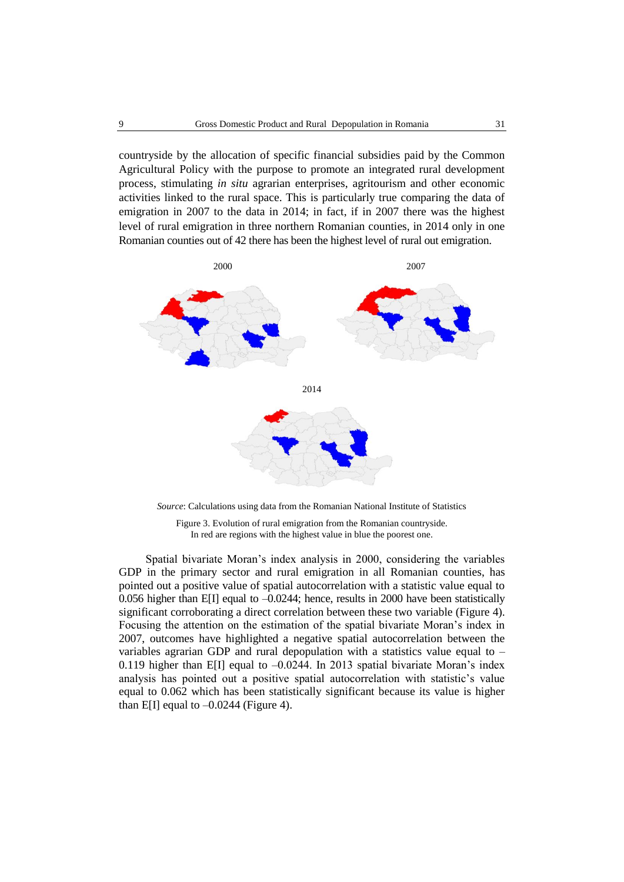countryside by the allocation of specific financial subsidies paid by the Common Agricultural Policy with the purpose to promote an integrated rural development process, stimulating *in situ* agrarian enterprises, agritourism and other economic activities linked to the rural space. This is particularly true comparing the data of emigration in 2007 to the data in 2014; in fact, if in 2007 there was the highest level of rural emigration in three northern Romanian counties, in 2014 only in one Romanian counties out of 42 there has been the highest level of rural out emigration.



*Source*: Calculations using data from the Romanian National Institute of Statistics

Figure 3. Evolution of rural emigration from the Romanian countryside. In red are regions with the highest value in blue the poorest one.

Spatial bivariate Moran's index analysis in 2000, considering the variables GDP in the primary sector and rural emigration in all Romanian counties, has pointed out a positive value of spatial autocorrelation with a statistic value equal to 0.056 higher than E[I] equal to –0.0244; hence, results in 2000 have been statistically significant corroborating a direct correlation between these two variable (Figure 4). Focusing the attention on the estimation of the spatial bivariate Moran's index in 2007, outcomes have highlighted a negative spatial autocorrelation between the variables agrarian GDP and rural depopulation with a statistics value equal to – 0.119 higher than E[I] equal to  $-0.0244$ . In 2013 spatial bivariate Moran's index analysis has pointed out a positive spatial autocorrelation with statistic's value equal to 0.062 which has been statistically significant because its value is higher than E[I] equal to  $-0.0244$  (Figure 4).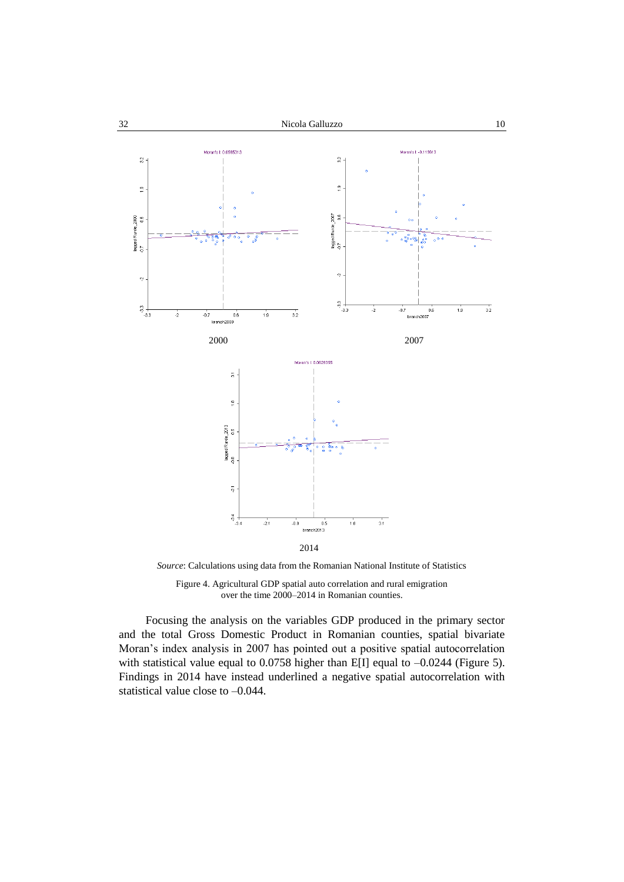



*Source*: Calculations using data from the Romanian National Institute of Statistics

Figure 4. Agricultural GDP spatial auto correlation and rural emigration over the time 2000–2014 in Romanian counties.

Focusing the analysis on the variables GDP produced in the primary sector and the total Gross Domestic Product in Romanian counties, spatial bivariate Moran's index analysis in 2007 has pointed out a positive spatial autocorrelation with statistical value equal to 0.0758 higher than E[I] equal to  $-0.0244$  (Figure 5). Findings in 2014 have instead underlined a negative spatial autocorrelation with statistical value close to –0.044.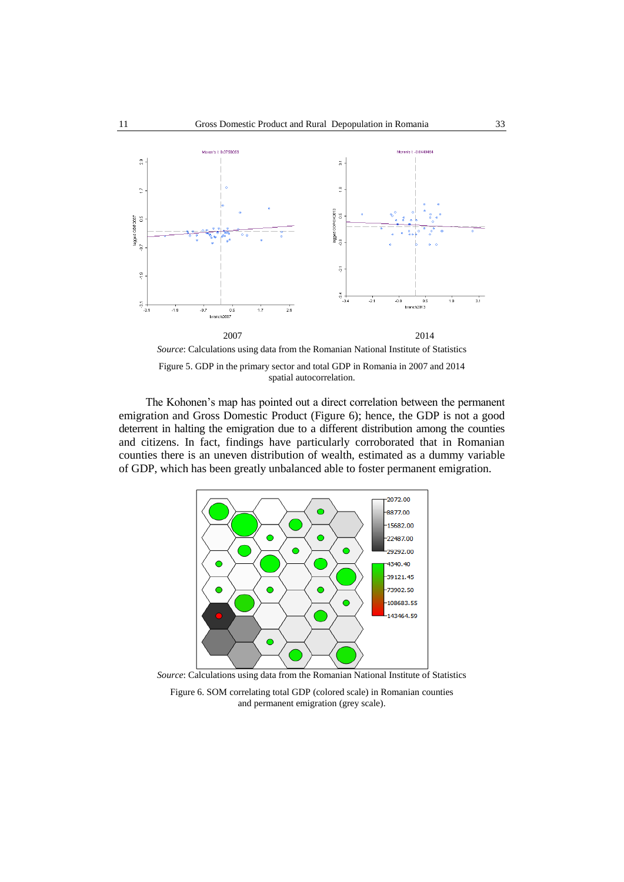

Figure 5. GDP in the primary sector and total GDP in Romania in 2007 and 2014 spatial autocorrelation.

The Kohonen's map has pointed out a direct correlation between the permanent emigration and Gross Domestic Product (Figure 6); hence, the GDP is not a good deterrent in halting the emigration due to a different distribution among the counties and citizens. In fact, findings have particularly corroborated that in Romanian counties there is an uneven distribution of wealth, estimated as a dummy variable of GDP, which has been greatly unbalanced able to foster permanent emigration.



*Source*: Calculations using data from the Romanian National Institute of Statistics

Figure 6. SOM correlating total GDP (colored scale) in Romanian counties and permanent emigration (grey scale).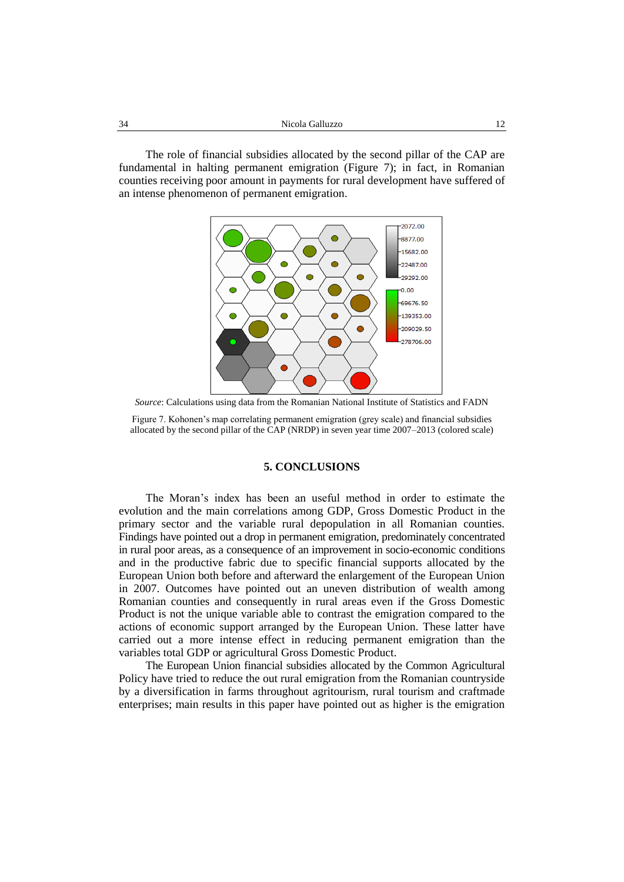The role of financial subsidies allocated by the second pillar of the CAP are fundamental in halting permanent emigration (Figure 7); in fact, in Romanian counties receiving poor amount in payments for rural development have suffered of an intense phenomenon of permanent emigration.



*Source*: Calculations using data from the Romanian National Institute of Statistics and FADN

Figure 7. Kohonen's map correlating permanent emigration (grey scale) and financial subsidies allocated by the second pillar of the CAP (NRDP) in seven year time 2007–2013 (colored scale)

### **5. CONCLUSIONS**

The Moran's index has been an useful method in order to estimate the evolution and the main correlations among GDP, Gross Domestic Product in the primary sector and the variable rural depopulation in all Romanian counties. Findings have pointed out a drop in permanent emigration, predominately concentrated in rural poor areas, as a consequence of an improvement in socio-economic conditions and in the productive fabric due to specific financial supports allocated by the European Union both before and afterward the enlargement of the European Union in 2007. Outcomes have pointed out an uneven distribution of wealth among Romanian counties and consequently in rural areas even if the Gross Domestic Product is not the unique variable able to contrast the emigration compared to the actions of economic support arranged by the European Union. These latter have carried out a more intense effect in reducing permanent emigration than the variables total GDP or agricultural Gross Domestic Product.

The European Union financial subsidies allocated by the Common Agricultural Policy have tried to reduce the out rural emigration from the Romanian countryside by a diversification in farms throughout agritourism, rural tourism and craftmade enterprises; main results in this paper have pointed out as higher is the emigration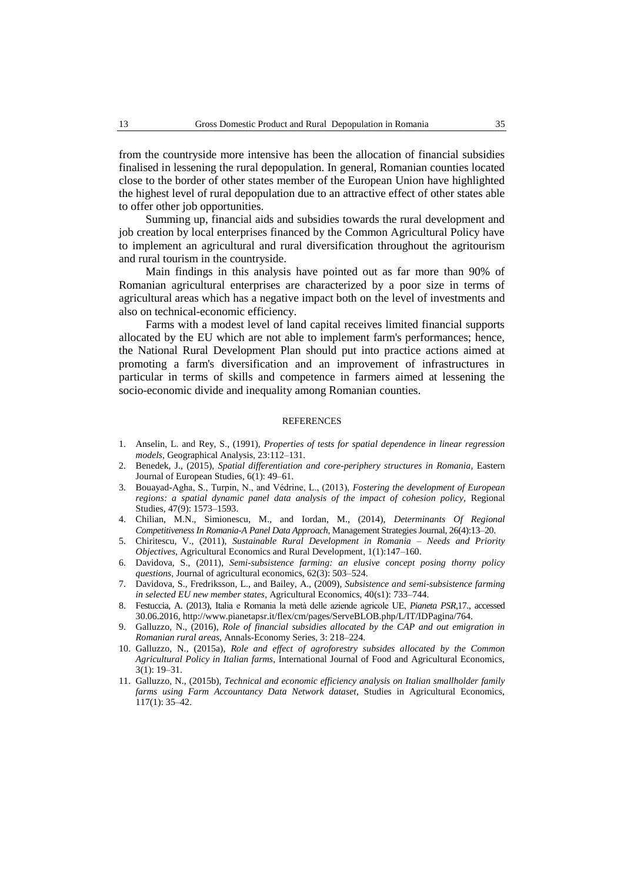from the countryside more intensive has been the allocation of financial subsidies finalised in lessening the rural depopulation. In general, Romanian counties located close to the border of other states member of the European Union have highlighted the highest level of rural depopulation due to an attractive effect of other states able to offer other job opportunities.

Summing up, financial aids and subsidies towards the rural development and job creation by local enterprises financed by the Common Agricultural Policy have to implement an agricultural and rural diversification throughout the agritourism and rural tourism in the countryside.

Main findings in this analysis have pointed out as far more than 90% of Romanian agricultural enterprises are characterized by a poor size in terms of agricultural areas which has a negative impact both on the level of investments and also on technical-economic efficiency.

Farms with a modest level of land capital receives limited financial supports allocated by the EU which are not able to implement farm's performances; hence, the National Rural Development Plan should put into practice actions aimed at promoting a farm's diversification and an improvement of infrastructures in particular in terms of skills and competence in farmers aimed at lessening the socio-economic divide and inequality among Romanian counties.

#### REFERENCES

- 1. Anselin, L. and Rey, S., (1991), *Properties of tests for spatial dependence in linear regression models,* Geographical Analysis, 23:112–131.
- 2. Benedek, J., (2015), *Spatial differentiation and core-periphery structures in Romania,* Eastern Journal of European Studies, 6(1): 49–61.
- 3. Bouayad-Agha, S., Turpin, N., and Védrine, L., (2013), *Fostering the development of European regions: a spatial dynamic panel data analysis of the impact of cohesion policy,* Regional Studies, 47(9): 1573–1593.
- 4. Chilian, M.N., Simionescu, M., and Iordan, M., (2014), *Determinants Of Regional Competitiveness In Romania-A Panel Data Approach,* Management Strategies Journal, 26(4):13–20.
- 5. Chiritescu, V., (2011), *Sustainable Rural Development in Romania – Needs and Priority Objectives*, Agricultural Economics and Rural Development, 1(1):147–160.
- 6. Davidova, S., (2011), *Semi-subsistence farming: an elusive concept posing thorny policy questions,* Journal of agricultural economics, 62(3): 503–524.
- 7. Davidova, S., Fredriksson, L., and Bailey, A., (2009), *Subsistence and semi-subsistence farming in selected EU new member states*, Agricultural Economics, 40(s1): 733–744.
- 8. Festuccia, A. (2013), Italia e Romania la metà delle aziende agricole UE, *Pianeta PSR*,17., accessed 30.06.2016, http://www.pianetapsr.it/flex/cm/pages/ServeBLOB.php/L/IT/IDPagina/764.
- 9. Galluzzo, N., (2016), *Role of financial subsidies allocated by the CAP and out emigration in Romanian rural areas,* Annals-Economy Series, 3: 218–224.
- 10. Galluzzo, N., (2015a), *Role and effect of agroforestry subsides allocated by the Common Agricultural Policy in Italian farms*, International Journal of Food and Agricultural Economics, 3(1): 19–31.
- 11. Galluzzo, N., (2015b), *Technical and economic efficiency analysis on Italian smallholder family farms using Farm Accountancy Data Network dataset*, Studies in Agricultural Economics, 117(1): 35–42.